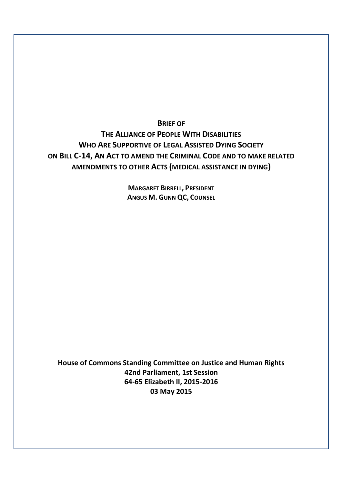**BRIEF OF**

**THE ALLIANCE OF PEOPLE WITH DISABILITIES WHO ARE SUPPORTIVE OF LEGAL ASSISTED DYING SOCIETY ON BILL C-14, AN ACT TO AMEND THE CRIMINAL CODE AND TO MAKE RELATED AMENDMENTS TO OTHER ACTS (MEDICAL ASSISTANCE IN DYING)**

> **MARGARET BIRRELL, PRESIDENT ANGUS M. GUNN QC, COUNSEL**

**House of Commons Standing Committee on Justice and Human Rights 42nd Parliament, 1st Session 64-65 Elizabeth II, 2015-2016 03 May 2015**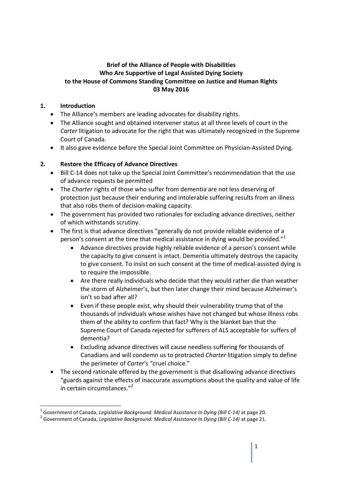### **Brief of the Alliance of People with Disabilities Who Are Supportive of Legal Assisted Dying Society to the House of Commons Standing Committee on Justice and Human Rights 03 May 2016**

#### **1. Introduction**

- The Alliance's members are leading advocates for disability rights.
- The Alliance sought and obtained intervener status at all three levels of court in the *Carter* litigation to advocate for the right that was ultimately recognized in the Supreme Court of Canada.
- It also gave evidence before the Special Joint Committee on Physician-Assisted Dying.

#### **2. Restore the Efficacy of Advance Directives**

- Bill C-14 does not take up the Special Joint Committee's recommendation that the use of advance requests be permitted
- The *Charter* rights of those who suffer from dementia are not less deserving of protection just because their enduring and intolerable suffering results from an illness that also robs them of decision-making capacity.
- The government has provided two rationales for excluding advance directives, neither of which withstands scrutiny.
- The first is that advance directives "generally do not provide reliable evidence of a person's consent at the time that medical assistance in dying would be provided. $^{\prime\prime}$ <sup>1</sup>
	- Advance directives provide highly reliable evidence of a person's consent while the capacity to give consent is intact. Dementia ultimately destroys the capacity to give consent. To insist on such consent at the time of medical-assisted dying is to require the impossible.
	- Are there really individuals who decide that they would rather die than weather the storm of Alzheimer's, but then later change their mind because Alzheimer's isn't so bad after all?
	- Even if these people exist, why should their vulnerability trump that of the thousands of individuals whose wishes have not changed but whose illness robs them of the ability to confirm that fact? Why is the blanket ban that the Supreme Court of Canada rejected for sufferers of ALS acceptable for suffers of dementia?
	- Excluding advance directives will cause needless suffering for thousands of Canadians and will condemn us to protracted *Charter* litigation simply to define the perimeter of *Carter*'s "cruel choice."
- The second rationale offered by the government is that disallowing advance directives "guards against the effects of inaccurate assumptions about the quality and value of life in certain circumstances. $"^{2}$

<sup>1</sup> Government of Canada, *Legislative Background: Medical Assistance In Dying (Bill C-14)* at page 20.

<sup>2</sup> Government of Canada, *Legislative Background: Medical Assistance In Dying (Bill C-14)* at page 21.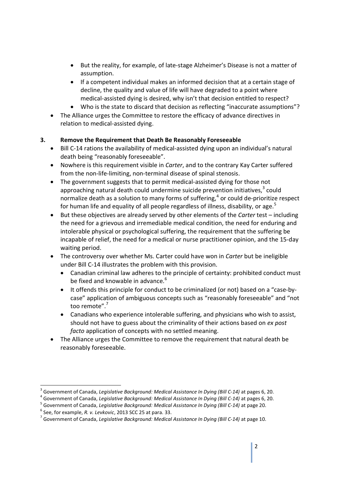- But the reality, for example, of late-stage Alzheimer's Disease is not a matter of assumption.
- If a competent individual makes an informed decision that at a certain stage of decline, the quality and value of life will have degraded to a point where medical-assisted dying is desired, why isn't that decision entitled to respect?
- Who is the state to discard that decision as reflecting "inaccurate assumptions"?
- The Alliance urges the Committee to restore the efficacy of advance directives in relation to medical-assisted dying.

## **3. Remove the Requirement that Death Be Reasonably Foreseeable**

- Bill C-14 rations the availability of medical-assisted dying upon an individual's natural death being "reasonably foreseeable".
- Nowhere is this requirement visible in *Carter*, and to the contrary Kay Carter suffered from the non-life-limiting, non-terminal disease of spinal stenosis.
- The government suggests that to permit medical-assisted dying for those not approaching natural death could undermine suicide prevention initiatives,<sup>3</sup> could normalize death as a solution to many forms of suffering, $^4$  or could de-prioritize respect for human life and equality of all people regardless of illness, disability, or age.<sup>5</sup>
- But these objectives are already served by other elements of the *Carter* test including the need for a grievous and irremediable medical condition, the need for enduring and intolerable physical or psychological suffering, the requirement that the suffering be incapable of relief, the need for a medical or nurse practitioner opinion, and the 15-day waiting period.
- The controversy over whether Ms. Carter could have won in *Carter* but be ineligible under Bill C-14 illustrates the problem with this provision.
	- Canadian criminal law adheres to the principle of certainty: prohibited conduct must be fixed and knowable in advance.<sup>6</sup>
	- It offends this principle for conduct to be criminalized (or not) based on a "case-bycase" application of ambiguous concepts such as "reasonably foreseeable" and "not too remote".<sup>7</sup>
	- Canadians who experience intolerable suffering, and physicians who wish to assist, should not have to guess about the criminality of their actions based on *ex post facto* application of concepts with no settled meaning.
- The Alliance urges the Committee to remove the requirement that natural death be reasonably foreseeable.

<sup>3</sup> Government of Canada, *Legislative Background: Medical Assistance In Dying (Bill C-14)* at pages 6, 20.

<sup>4</sup> Government of Canada, *Legislative Background: Medical Assistance In Dying (Bill C-14)* at pages 6, 20.

<sup>5</sup> Government of Canada, *Legislative Background: Medical Assistance In Dying (Bill C-14)* at page 20.

<sup>6</sup> See, for example, *R. v. Levkovic*, 2013 SCC 25 at para. 33.

<sup>7</sup> Government of Canada, *Legislative Background: Medical Assistance In Dying (Bill C-14)* at page 10.